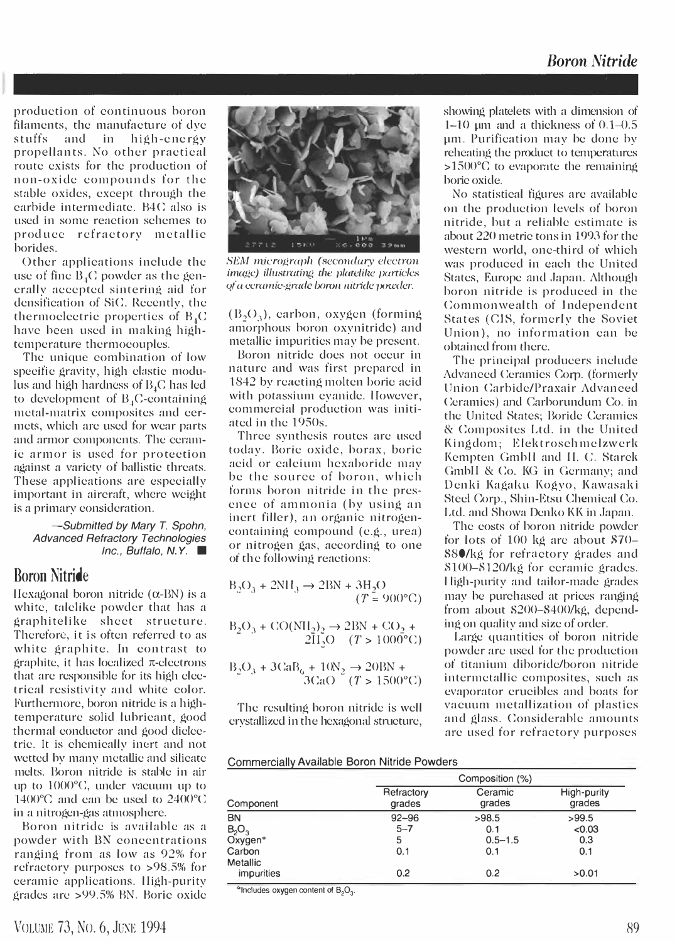## Boron Nitride

production of continuous horon filamcnts, thc manufacture of dyc stuffs and in high-energy propellants. No other practieal route exists for thc production of non-oxidc compounds for the stable oxides, cxcept through the carhide intermediatc. B4 C also is used in somc reaction schcmes to produce refractory metallie borides.

Othcr applications include the use of fine  $B<sub>i</sub>C$  powder as the generally acecptcd sintering aid for densification of SiC. Recently, the thermoelectric properties of  $B<sub>4</sub>C$ havc been uscd in making hightempcrature thcrmocouples.

Thc unique combination of low speeifie gravity, high clastie modulus and high hardness of  $B_4C$  has led to development of  $B_4C$ -containing metal-matrix composites and eermets, which arc uscd for wear parts and armor components. The ecramic armor is used for protection against a varicty of ballistic thrcats. These applications are espccially important in aircraft, wherc wcight is a primary consideration.

### -Submitted by Mary T. Spohn, Advanced Refractory Technologies Inc., Buffalo, N.Y.  $\blacksquare$

### Boron Nitride

IIexagonal boron nitride  $(\alpha$ -BN) is a white, talelike powder that has a graphitelike sheet structure. Therefore, it is often referred to as white graphite. In contrast to graphite, it has localized  $\pi$ -electrons that arc responsible for its high electrical resistivity and white color. Furthermore, boron nitride is a hightemperature solid lubricant, good thermal conductor and good dielectric. It is chemically inert and not wetted by many metallic and silicate melts. Boron nitride is stable in air up to 1000°C, under vacuum up to 1400 $^{\circ}$ C and can be used to 2400 $^{\circ}$ C in a nitrogen-gas atmosphere.

Boron nitride is available as a powder with BN concentrations ranging from as low as 92% for refractory purposes to >98.5% for ceramic applications. lIigh-purity gradcs arc >99.S% BN. Boric oxide



SEM micrograph (secondary electron image) illustrating the platelike particles of a ceramic-grade boron nitride poweder.

 $(B_2O_2)$ , earbon, oxygen (forming) amorphous horon oxynitridc) and metallic impurities may be prcsent.

Boron nitride does not occur in naturc and was first prepared in 1842 by reacting molten horie acid with potassium evanide. However, commercial production was initiated in the 19S0s.

Three synthesis routes are used today. Boric oxide, borax, boric acid or calcium hcxahoride may be the sourcc of boron, which forms boron nitride in the presence of ammonia (by using an inert fillcr), an organic nitrogencontaining compound (c.g., urea) or nitrogen gas, according to one of thc follOWing reactions:

$$
B_2O_3 + 2NH_3 \to 2BN + 3H_2O
$$
  
(T = 900°C)

$$
B_2O_3 + CO(NH_2)_2 \to 2BN + CO_2 + 2H_2O \quad (T > 1000^{\circ}C)
$$

$$
\frac{B_2O_3 + 3CaB_6 + 10N_2 \rightarrow 20BN +}{3CaO - (T > 1500^{\circ}C)}
$$

Thc resulting boron nitride is well erystallized in the hexagonal structure,

showing platelets with a dimension of 1-10 pm and a thickness of 0.1-0.S pm. Purification may bc done hy reheating the product to temperaturcs  $>1500^{\circ}$ C to evaporate the remaining borie oxide.

No statistical figures arc availahle on the production levels of horon nitride, hut a reliable cstimate is about 220 metric tons in 199J for thc western world, one-third of which was produced in each the United States, Europe and Japan. Although horon nitride is produced in the Commonwealth of Independent States (CIS, formerly the Soviet Union), no information can he obtained from there.

The principal producers include Advanced Ceramics Corp. (formerly Union Carbide/Praxair Advanced Ceramics) and Carborundum Co. in the United States; Boride Ceramics & Composites Ltd. in the United King dom; Elektrosch mclzwcrk Kcmpten Gmbll and II. C. Starck GmbH & Co. KG in Germany; and Denki Kagaku Kogyo, Kawasaki Steel Corp., Shin-Etsu Chemical Co. Ltd. and Showa Denko KK in Japan.

The costs of horon nitride powder for lots of 100 kg arc about \$70- S80/kg for refractory grades and  $$100 - $120$ /kg for ceramic grades. l ligh-pulity and tailor-made grades may be purchased at prices ranging from ahout S200-S400/kg, depending on quality and size of order.

Large quantities of boron nitride powder arc used for the production of titanium diboride/boron nitride intermetallic composites, such as evaporator crucibles and hoats for vacuum metallization of plastics and glass. Considerable amounts arc used for refractory purposcs

| Commercially Available Boron Nitride Powders |  |  |  |  |
|----------------------------------------------|--|--|--|--|
|----------------------------------------------|--|--|--|--|

|                     | Composition (%)      |                   |                       |
|---------------------|----------------------|-------------------|-----------------------|
| Component           | Refractory<br>grades | Ceramic<br>grades | High-purity<br>grades |
| <b>BN</b>           | $92 - 96$            | >98.5             | >99.5                 |
| $B_2O_3$            | $5 - 7$              | 0.1               | < 0.03                |
| Oxygen <sup>®</sup> | 5                    | $0.5 - 1.5$       | 0.3                   |
| Carbon<br>Metallic  | 0.1                  | 0.1               | 0.1                   |
| <i>impurities</i>   | 0.2                  | 0.2               | >0.01                 |

 $k$  Includes oxygen content of  $B_2O_3$ .